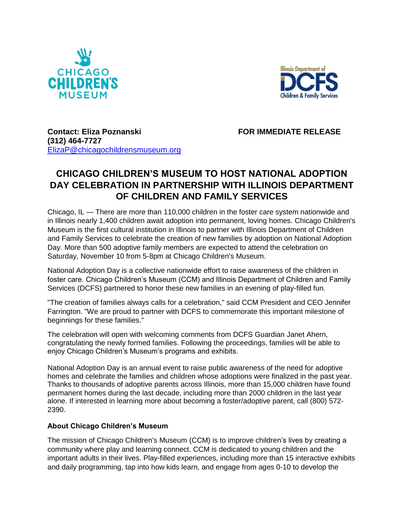



**Contact: Eliza Poznanski FOR IMMEDIATE RELEASE (312) 464-7727**  [ElizaP@chicagochildrensmuseum.org](mailto:TwaniaB@chicagochildrensmuseum.org)

## **CHICAGO CHILDREN'S MUSEUM TO HOST NATIONAL ADOPTION DAY CELEBRATION IN PARTNERSHIP WITH ILLINOIS DEPARTMENT OF CHILDREN AND FAMILY SERVICES**

Chicago, IL — There are more than 110,000 children in the foster care system nationwide and in Illinois nearly 1,400 children await adoption into permanent, loving homes. Chicago Children's Museum is the first cultural institution in Illinois to partner with Illinois Department of Children and Family Services to celebrate the creation of new families by adoption on National Adoption Day. More than 500 adoptive family members are expected to attend the celebration on Saturday, November 10 from 5-8pm at Chicago Children's Museum.

National Adoption Day is a collective nationwide effort to raise awareness of the children in foster care. Chicago Children's Museum (CCM) and Illinois Department of Children and Family Services (DCFS) partnered to honor these new families in an evening of play-filled fun.

"The creation of families always calls for a celebration," said CCM President and CEO Jennifer Farrington. "We are proud to partner with DCFS to commemorate this important milestone of beginnings for these families."

The celebration will open with welcoming comments from DCFS Guardian Janet Ahern, congratulating the newly formed families. Following the proceedings, families will be able to enjoy Chicago Children's Museum's programs and exhibits.

National Adoption Day is an annual event to raise public awareness of the need for adoptive homes and celebrate the families and children whose adoptions were finalized in the past year. Thanks to thousands of adoptive parents across Illinois, more than 15,000 children have found permanent homes during the last decade, including more than 2000 children in the last year alone. If interested in learning more about becoming a foster/adoptive parent, call (800) 572- 2390.

## **About Chicago Children's Museum**

The mission of Chicago Children's Museum (CCM) is to improve children's lives by creating a community where play and learning connect. CCM is dedicated to young children and the important adults in their lives. Play-filled experiences, including more than 15 interactive exhibits and daily programming, tap into how kids learn, and engage from ages 0-10 to develop the